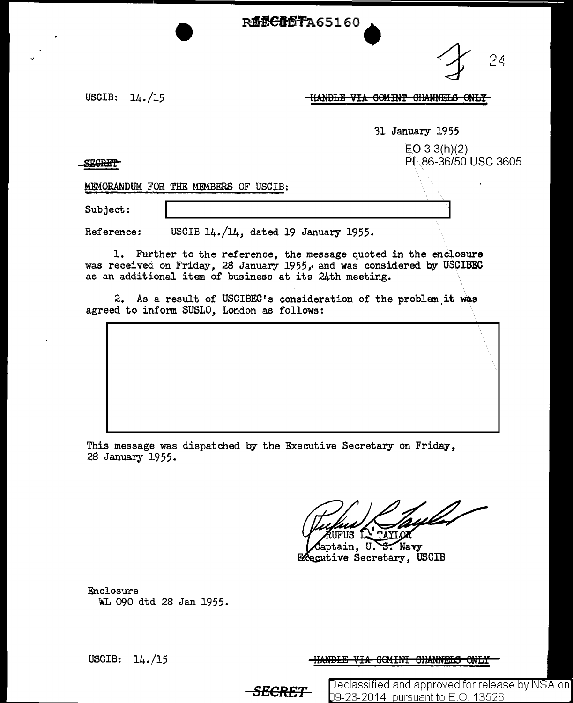**R62CR6TA65160** 

 $'$  4  $\,$ 

USCIB: 14./15

**HANDLE VIA COMINT CHANNELS ONLY** 

31 January 1955

 $E$ O 3.3(h)(2) PL.86-36/50 USC 3605

**SEGRET** 

MEMORANDUM FOR THE MEMBERS OF USCIB:

Subject:

Reference: USCIB 14./14, dated 19 January 1955.

1. Further to the reference, the message quoted in the enclosure was received on Friday, 28 January 1955, and was considered by USCIBEC as an additional item of business at its 24th meeting.

2. As a result of USCIBEC's consideration of the problem it was agreed to inform SUSLO, London as follows:

This message was dispatched by the Executive Secretary on Friday, 28 January 1955.

RUFUS LA TAYLOR

Captain, U. S. Navy<br>Executive Secretary, USCIB

Enclosure WL 090 dtd 28 Jan 1955.

USCIB: 14./15

<u>-HANDLE VIA COMINT CHANNELS ONLY</u>

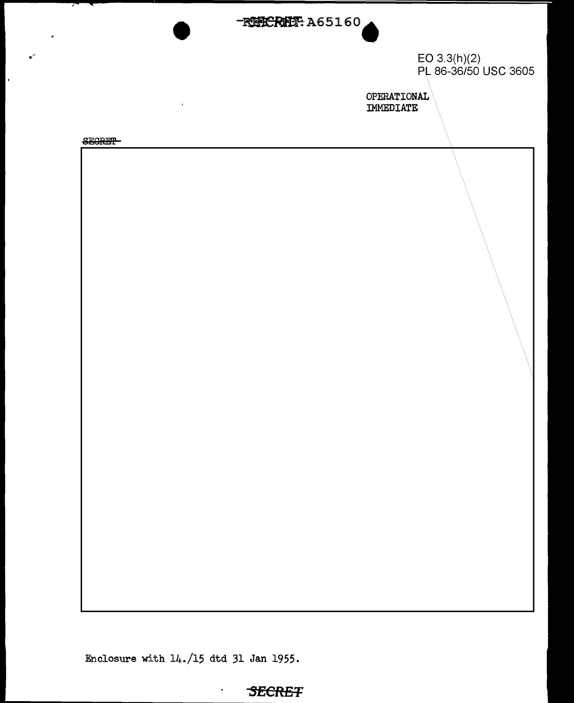

EO 3.3(h)(2) PL 86-36/50 USC 3605

OPERATIONAL IMMEDIATE

**SEGRET** 

 $\mathbf{r}$ 

 $\ddot{\phantom{a}}$ 



Enclosure with 14./15 dtd 31 Jan 1955.

 $\blacksquare$ 

## **SECRE'F**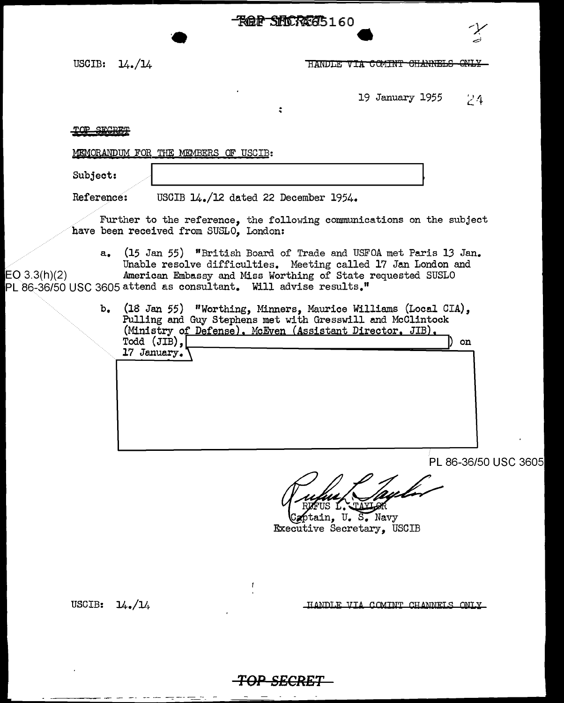**ROP SHOREG5160** 

USCIB:  $14.14$ 

HANDLE VIA COMINT CHANNELS ONLY

19 January 1955  $24$ 

## TOP SECRET

MEMORANDUM FOR THE MEMBERS OF USCIB:

 $\bullet$ 

Subject:

Reference: USCIB 14./12 dated 22 December 1954.

Further to the reference, the following communications on the subject have been received from SUSLO, London:

 $\ddot{\cdot}$ 

a. (15 Jan 55) "British Board of Trade and USFOA met Paris 13 Jan. Unable resolve difficulties. Meeting called 17 Jan London and  $E[O(3.3(h)(2))$  . American Embassy and Miss Worthing of State requested SUSLO PL 86-36/50 USC 3605 attend as consultant. Will advise results."

> b. (18 Jan 55) "Worthing, Minners, Maurice Williams (Local CIA), Pulling and Guy Stephens met with Gresswill and McOlintock (Ministry of Defense), McEven (Assistant Director, JIB), Todd (JIB), ) on 17 January.

> > PL 86-36/50 USC 3605

ptain. U. S. Navy Executive Secretary, USCIB

USCIB:  $14.11$ 

------- - --

HANDLE VIA COMINT CHANNELS ONLY



 $\mathbf{f}$